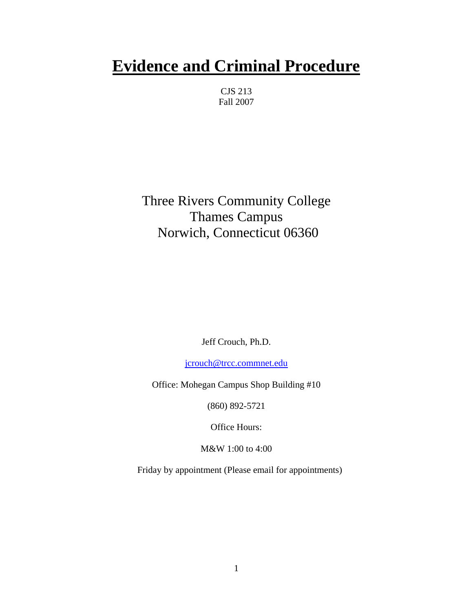# **Evidence and Criminal Procedure**

CJS 213 Fall 2007

Three Rivers Community College Thames Campus Norwich, Connecticut 06360

Jeff Crouch, Ph.D.

[jcrouch@trcc.commnet.edu](mailto:jcrouch@trcc.commnet.edu)

Office: Mohegan Campus Shop Building #10

(860) 892-5721

Office Hours:

M&W 1:00 to 4:00

Friday by appointment (Please email for appointments)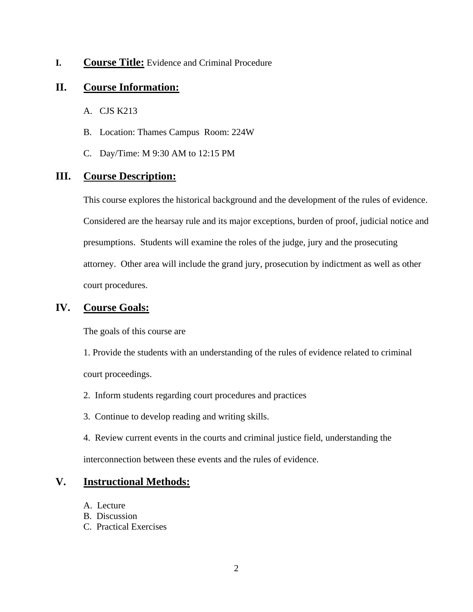#### **I. Course Title:** Evidence and Criminal Procedure

# **II. Course Information:**

- A. CJS K213
- B. Location: Thames Campus Room: 224W
- C. Day/Time: M 9:30 AM to 12:15 PM

## **III. Course Description:**

This course explores the historical background and the development of the rules of evidence. Considered are the hearsay rule and its major exceptions, burden of proof, judicial notice and presumptions. Students will examine the roles of the judge, jury and the prosecuting attorney. Other area will include the grand jury, prosecution by indictment as well as other court procedures.

## **IV. Course Goals:**

The goals of this course are

1. Provide the students with an understanding of the rules of evidence related to criminal court proceedings.

- 2. Inform students regarding court procedures and practices
- 3. Continue to develop reading and writing skills.
- 4. Review current events in the courts and criminal justice field, understanding the interconnection between these events and the rules of evidence.

# **V. Instructional Methods:**

- A. Lecture
- B. Discussion
- C. Practical Exercises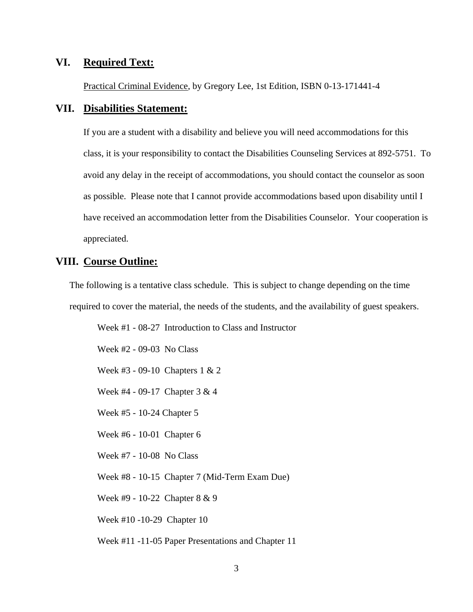#### **VI. Required Text:**

Practical Criminal Evidence, by Gregory Lee, 1st Edition, ISBN 0-13-171441-4

#### **VII. Disabilities Statement:**

If you are a student with a disability and believe you will need accommodations for this class, it is your responsibility to contact the Disabilities Counseling Services at 892-5751. To avoid any delay in the receipt of accommodations, you should contact the counselor as soon as possible. Please note that I cannot provide accommodations based upon disability until I have received an accommodation letter from the Disabilities Counselor. Your cooperation is appreciated.

#### **VIII. Course Outline:**

The following is a tentative class schedule. This is subject to change depending on the time required to cover the material, the needs of the students, and the availability of guest speakers.

Week #1 - 08-27 Introduction to Class and Instructor

Week #2 - 09-03 No Class

Week #3 - 09-10 Chapters 1 & 2

Week #4 - 09-17 Chapter 3 & 4

Week #5 - 10-24 Chapter 5

Week #6 - 10-01 Chapter 6

Week #7 - 10-08 No Class

Week #8 - 10-15 Chapter 7 (Mid-Term Exam Due)

Week #9 - 10-22 Chapter 8 & 9

Week #10 -10-29 Chapter 10

Week #11 -11-05 Paper Presentations and Chapter 11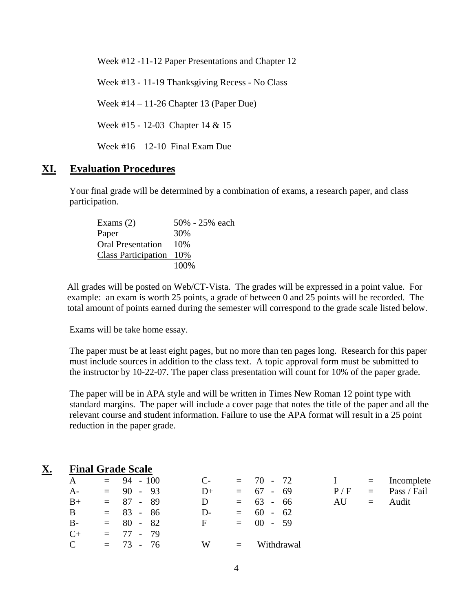Week #12 -11-12 Paper Presentations and Chapter 12

Week #13 - 11-19 Thanksgiving Recess - No Class

Week #14 – 11-26 Chapter 13 (Paper Due)

Week #15 - 12-03 Chapter 14 & 15

Week  $\#16 - 12 - 10$  Final Exam Due

## **XI. Evaluation Procedures**

Your final grade will be determined by a combination of exams, a research paper, and class participation.

| Exams $(2)$              | 50% - 25% each |
|--------------------------|----------------|
| Paper                    | 30%            |
| <b>Oral Presentation</b> | 10\%           |
| Class Participation 10%  |                |
|                          | 100\%          |

All grades will be posted on Web/CT-Vista. The grades will be expressed in a point value. For example: an exam is worth 25 points, a grade of between 0 and 25 points will be recorded. The total amount of points earned during the semester will correspond to the grade scale listed below.

Exams will be take home essay.

The paper must be at least eight pages, but no more than ten pages long. Research for this paper must include sources in addition to the class text. A topic approval form must be submitted to the instructor by 10-22-07. The paper class presentation will count for 10% of the paper grade.

The paper will be in APA style and will be written in Times New Roman 12 point type with standard margins. The paper will include a cover page that notes the title of the paper and all the relevant course and student information. Failure to use the APA format will result in a 25 point reduction in the paper grade.

#### **X. Final Grade Scale**

| A             |  | $= 94 - 100$                              | $C-$ |          | $= 70 - 72$ |     | $\equiv$ | Incomplete  |  |
|---------------|--|-------------------------------------------|------|----------|-------------|-----|----------|-------------|--|
| $A-$          |  | $= 90 - 93$                               | D+   |          | $= 67 - 69$ | P/F | $=$      | Pass / Fail |  |
| $B+$          |  | $= 87 - 89$                               | D    | $=$      | $63 - 66$   | AU  | $\equiv$ | Audit       |  |
| B             |  | $= 83 - 86$                               | D-   | $=$      | $60 - 62$   |     |          |             |  |
| $B-$          |  | $= 80 - 82$                               | F    | $\equiv$ | $00 - 59$   |     |          |             |  |
| $C+$          |  | $= 77 - 79$                               |      |          |             |     |          |             |  |
| $\mathcal{C}$ |  | $= 73$<br>-76<br>$\overline{\phantom{a}}$ | W    | $=$      | Withdrawal  |     |          |             |  |